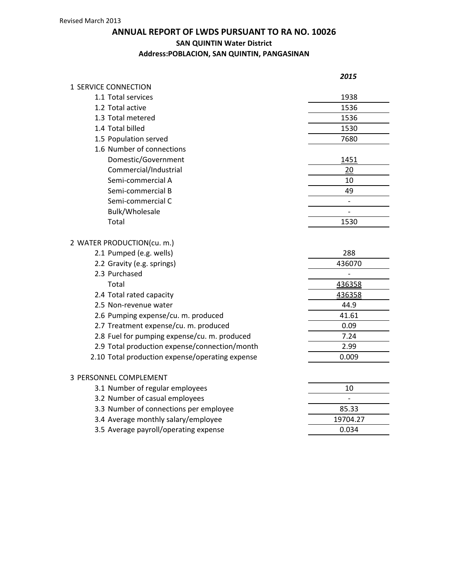## **ANNUAL REPORT OF LWDS PURSUANT TO RA NO. 10026 SAN QUINTIN Water District Address:POBLACION, SAN QUINTIN, PANGASINAN**

|                                                 | 2015                     |
|-------------------------------------------------|--------------------------|
| 1 SERVICE CONNECTION                            |                          |
| 1.1 Total services                              | 1938                     |
| 1.2 Total active                                | 1536                     |
| 1.3 Total metered                               | 1536                     |
| 1.4 Total billed                                | 1530                     |
| 1.5 Population served                           | 7680                     |
| 1.6 Number of connections                       |                          |
| Domestic/Government                             | 1451                     |
| Commercial/Industrial                           | 20                       |
| Semi-commercial A                               | 10                       |
| Semi-commercial B                               | 49                       |
| Semi-commercial C                               | $\overline{\phantom{m}}$ |
| Bulk/Wholesale                                  | $\overline{a}$           |
| Total                                           | 1530                     |
| 2 WATER PRODUCTION(cu. m.)                      |                          |
| 2.1 Pumped (e.g. wells)                         | 288                      |
| 2.2 Gravity (e.g. springs)                      | 436070                   |
| 2.3 Purchased                                   |                          |
| Total                                           | 436358                   |
| 2.4 Total rated capacity                        | 436358                   |
| 2.5 Non-revenue water                           | 44.9                     |
| 2.6 Pumping expense/cu. m. produced             | 41.61                    |
| 2.7 Treatment expense/cu. m. produced           | 0.09                     |
| 2.8 Fuel for pumping expense/cu. m. produced    | 7.24                     |
| 2.9 Total production expense/connection/month   | 2.99                     |
| 2.10 Total production expense/operating expense | 0.009                    |
| 3 PERSONNEL COMPLEMENT                          |                          |
| 3.1 Number of regular employees                 | 10                       |
| 3.2 Number of casual employees                  |                          |
| 3.3 Number of connections per employee          | 85.33                    |
| 3.4 Average monthly salary/employee             | 19704.27                 |
| 3.5 Average payroll/operating expense           | 0.034                    |
|                                                 |                          |